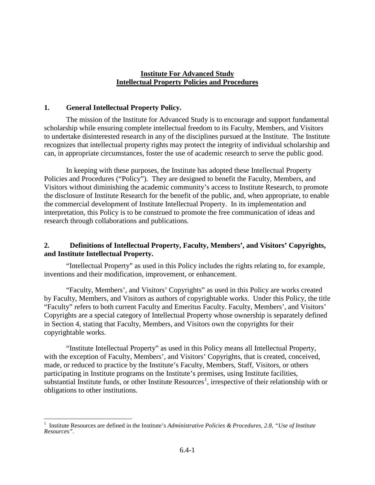### **Institute For Advanced Study Intellectual Property Policies and Procedures**

#### **1. General Intellectual Property Policy.**

The mission of the Institute for Advanced Study is to encourage and support fundamental scholarship while ensuring complete intellectual freedom to its Faculty, Members, and Visitors to undertake disinterested research in any of the disciplines pursued at the Institute. The Institute recognizes that intellectual property rights may protect the integrity of individual scholarship and can, in appropriate circumstances, foster the use of academic research to serve the public good.

In keeping with these purposes, the Institute has adopted these Intellectual Property Policies and Procedures ("Policy"). They are designed to benefit the Faculty, Members, and Visitors without diminishing the academic community's access to Institute Research, to promote the disclosure of Institute Research for the benefit of the public, and, when appropriate, to enable the commercial development of Institute Intellectual Property. In its implementation and interpretation, this Policy is to be construed to promote the free communication of ideas and research through collaborations and publications.

## **2. Definitions of Intellectual Property, Faculty, Members', and Visitors' Copyrights, and Institute Intellectual Property.**

"Intellectual Property" as used in this Policy includes the rights relating to, for example, inventions and their modification, improvement, or enhancement.

"Faculty, Members', and Visitors' Copyrights" as used in this Policy are works created by Faculty, Members, and Visitors as authors of copyrightable works. Under this Policy, the title "Faculty" refers to both current Faculty and Emeritus Faculty. Faculty, Members', and Visitors' Copyrights are a special category of Intellectual Property whose ownership is separately defined in Section 4, stating that Faculty, Members, and Visitors own the copyrights for their copyrightable works.

"Institute Intellectual Property" as used in this Policy means all Intellectual Property, with the exception of Faculty, Members', and Visitors' Copyrights, that is created, conceived, made, or reduced to practice by the Institute's Faculty, Members, Staff, Visitors, or others participating in Institute programs on the Institute's premises, using Institute facilities, substantial Institute funds, or other Institute Resources<sup>[1](#page-0-0)</sup>, irrespective of their relationship with or obligations to other institutions.

<span id="page-0-0"></span> $\frac{1}{1}$ <sup>1</sup> Institute Resources are defined in the Institute's *Administrative Policies & Procedures, 2.8, "Use of Institute Resources".*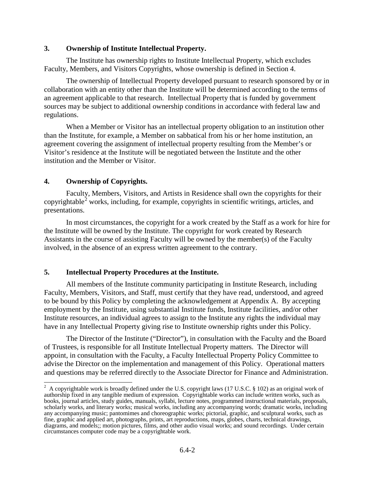### **3. Ownership of Institute Intellectual Property.**

The Institute has ownership rights to Institute Intellectual Property, which excludes Faculty, Members, and Visitors Copyrights, whose ownership is defined in Section 4.

The ownership of Intellectual Property developed pursuant to research sponsored by or in collaboration with an entity other than the Institute will be determined according to the terms of an agreement applicable to that research. Intellectual Property that is funded by government sources may be subject to additional ownership conditions in accordance with federal law and regulations.

When a Member or Visitor has an intellectual property obligation to an institution other than the Institute, for example, a Member on sabbatical from his or her home institution, an agreement covering the assignment of intellectual property resulting from the Member's or Visitor's residence at the Institute will be negotiated between the Institute and the other institution and the Member or Visitor.

# **4. Ownership of Copyrights.**

Faculty, Members, Visitors, and Artists in Residence shall own the copyrights for their copyrightable<sup>[2](#page-1-0)</sup> works, including, for example, copyrights in scientific writings, articles, and presentations.

In most circumstances, the copyright for a work created by the Staff as a work for hire for the Institute will be owned by the Institute. The copyright for work created by Research Assistants in the course of assisting Faculty will be owned by the member(s) of the Faculty involved, in the absence of an express written agreement to the contrary.

#### **5. Intellectual Property Procedures at the Institute.**

All members of the Institute community participating in Institute Research, including Faculty, Members, Visitors, and Staff, must certify that they have read, understood, and agreed to be bound by this Policy by completing the acknowledgement at Appendix A. By accepting employment by the Institute, using substantial Institute funds, Institute facilities, and/or other Institute resources, an individual agrees to assign to the Institute any rights the individual may have in any Intellectual Property giving rise to Institute ownership rights under this Policy.

The Director of the Institute ("Director"), in consultation with the Faculty and the Board of Trustees, is responsible for all Institute Intellectual Property matters. The Director will appoint, in consultation with the Faculty, a Faculty Intellectual Property Policy Committee to advise the Director on the implementation and management of this Policy. Operational matters and questions may be referred directly to the Associate Director for Finance and Administration.

<span id="page-1-0"></span> $\frac{1}{2}$  $^2$  A copyrightable work is broadly defined under the U.S. copyright laws (17 U.S.C. § 102) as an original work of authorship fixed in any tangible medium of expression. Copyrightable works can include written works, such as books, journal articles, study guides, manuals, syllabi, lecture notes, programmed instructional materials, proposals, scholarly works, and literary works; musical works, including any accompanying words; dramatic works, including any accompanying music; pantomimes and choreographic works; pictorial, graphic, and sculptural works, such as fine, graphic and applied art, photographs, prints, art reproductions, maps, globes, charts, technical drawings, diagrams, and models;; motion pictures, films, and other audio visual works; and sound recordings. Under certain circumstances computer code may be a copyrightable work.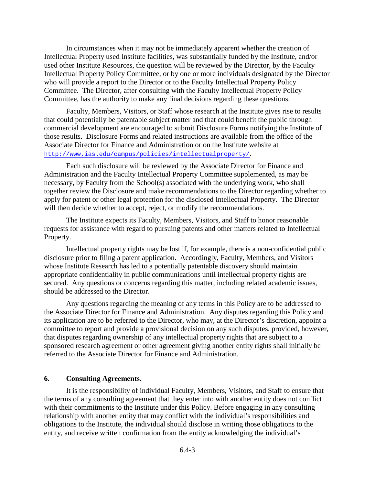In circumstances when it may not be immediately apparent whether the creation of Intellectual Property used Institute facilities, was substantially funded by the Institute, and/or used other Institute Resources, the question will be reviewed by the Director, by the Faculty Intellectual Property Policy Committee, or by one or more individuals designated by the Director who will provide a report to the Director or to the Faculty Intellectual Property Policy Committee. The Director, after consulting with the Faculty Intellectual Property Policy Committee, has the authority to make any final decisions regarding these questions.

Faculty, Members, Visitors, or Staff whose research at the Institute gives rise to results that could potentially be patentable subject matter and that could benefit the public through commercial development are encouraged to submit Disclosure Forms notifying the Institute of those results. Disclosure Forms and related instructions are available from the office of the Associate Director for Finance and Administration or on the Institute website at <http://www.ias.edu/campus/policies/intellectualproperty/>.

Each such disclosure will be reviewed by the Associate Director for Finance and Administration and the Faculty Intellectual Property Committee supplemented, as may be necessary, by Faculty from the School(s) associated with the underlying work, who shall together review the Disclosure and make recommendations to the Director regarding whether to apply for patent or other legal protection for the disclosed Intellectual Property. The Director will then decide whether to accept, reject, or modify the recommendations.

The Institute expects its Faculty, Members, Visitors, and Staff to honor reasonable requests for assistance with regard to pursuing patents and other matters related to Intellectual Property.

Intellectual property rights may be lost if, for example, there is a non-confidential public disclosure prior to filing a patent application. Accordingly, Faculty, Members, and Visitors whose Institute Research has led to a potentially patentable discovery should maintain appropriate confidentiality in public communications until intellectual property rights are secured. Any questions or concerns regarding this matter, including related academic issues, should be addressed to the Director.

Any questions regarding the meaning of any terms in this Policy are to be addressed to the Associate Director for Finance and Administration. Any disputes regarding this Policy and its application are to be referred to the Director, who may, at the Director's discretion, appoint a committee to report and provide a provisional decision on any such disputes, provided, however, that disputes regarding ownership of any intellectual property rights that are subject to a sponsored research agreement or other agreement giving another entity rights shall initially be referred to the Associate Director for Finance and Administration.

### **6. Consulting Agreements.**

It is the responsibility of individual Faculty, Members, Visitors, and Staff to ensure that the terms of any consulting agreement that they enter into with another entity does not conflict with their commitments to the Institute under this Policy. Before engaging in any consulting relationship with another entity that may conflict with the individual's responsibilities and obligations to the Institute, the individual should disclose in writing those obligations to the entity, and receive written confirmation from the entity acknowledging the individual's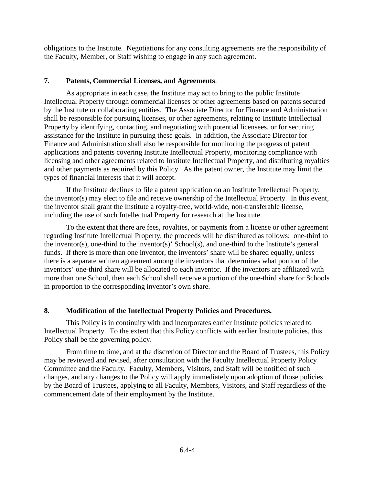obligations to the Institute. Negotiations for any consulting agreements are the responsibility of the Faculty, Member, or Staff wishing to engage in any such agreement.

# **7. Patents, Commercial Licenses, and Agreements**.

As appropriate in each case, the Institute may act to bring to the public Institute Intellectual Property through commercial licenses or other agreements based on patents secured by the Institute or collaborating entities. The Associate Director for Finance and Administration shall be responsible for pursuing licenses, or other agreements, relating to Institute Intellectual Property by identifying, contacting, and negotiating with potential licensees, or for securing assistance for the Institute in pursuing these goals. In addition, the Associate Director for Finance and Administration shall also be responsible for monitoring the progress of patent applications and patents covering Institute Intellectual Property, monitoring compliance with licensing and other agreements related to Institute Intellectual Property, and distributing royalties and other payments as required by this Policy. As the patent owner, the Institute may limit the types of financial interests that it will accept.

If the Institute declines to file a patent application on an Institute Intellectual Property, the inventor(s) may elect to file and receive ownership of the Intellectual Property. In this event, the inventor shall grant the Institute a royalty-free, world-wide, non-transferable license, including the use of such Intellectual Property for research at the Institute.

To the extent that there are fees, royalties, or payments from a license or other agreement regarding Institute Intellectual Property, the proceeds will be distributed as follows: one-third to the inventor(s), one-third to the inventor(s)' School(s), and one-third to the Institute's general funds. If there is more than one inventor, the inventors' share will be shared equally, unless there is a separate written agreement among the inventors that determines what portion of the inventors' one-third share will be allocated to each inventor. If the inventors are affiliated with more than one School, then each School shall receive a portion of the one-third share for Schools in proportion to the corresponding inventor's own share.

# **8. Modification of the Intellectual Property Policies and Procedures.**

This Policy is in continuity with and incorporates earlier Institute policies related to Intellectual Property. To the extent that this Policy conflicts with earlier Institute policies, this Policy shall be the governing policy.

From time to time, and at the discretion of Director and the Board of Trustees, this Policy may be reviewed and revised, after consultation with the Faculty Intellectual Property Policy Committee and the Faculty. Faculty, Members, Visitors, and Staff will be notified of such changes, and any changes to the Policy will apply immediately upon adoption of those policies by the Board of Trustees, applying to all Faculty, Members, Visitors, and Staff regardless of the commencement date of their employment by the Institute.